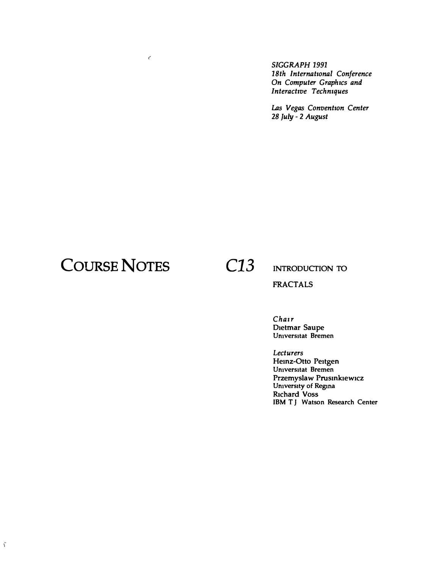SIGGRAPH 1991 18th International Conference On Computer Graphics and Interactive Techniques

Las Vegas Convention Center 28 July - 2 August

# **COURSE NOTES**

 $\epsilon$ 

C<sub>13</sub>

#### **INTRODUCTION TO**

**FRACTALS** 

Chair Dietmar Saupe<br>Universitat Bremen

Lecturers Heinz-Otto Peitgen Universitat Bremen Przemyslaw Prusinkiewicz University of Regina **Richard Voss** IBM TJ Watson Research Center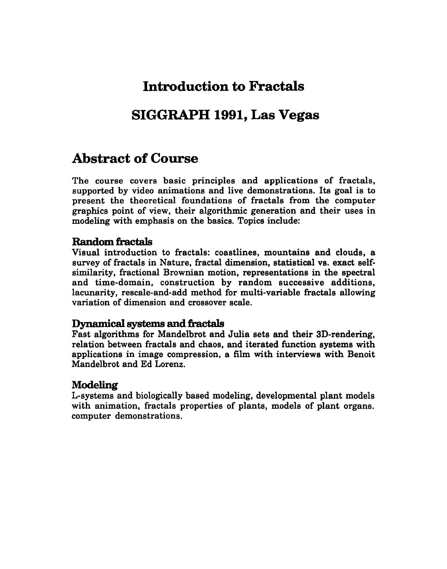## **Introduction to Fractals**

### **SIGGRAPH 1991, Las Vegas**

### **Abstract of Course**

The course covers basic principles and applications of fractals, supported by video animations and live demonstrations. Its goal is to present the theoretical foundations of fractals from the computer graphics point of view, their algorithmic generation and their uses in modeling with emphasis on the basics. Topics include:

#### **Random fractals**

Visual introduction to fractals: coastlines, mountains and clouds, a survey of fractals in Nature, fractal dimension, statistical vs. exact selfsimilarity, fractional Brownian motion, representations in the spectral and time-domain, construction by random successive additions, lacunarity, rescale-and-add method for multi-variable fractals allowing variation of dimension and crossover scale.

#### Dynamical systems **and fractals**

Fast algorithms for Mandelbrot and Julia sets and their 3D-rendering, relation between fractals and chaos, and iterated function systems with applications in image compression, a film with interviews with Benoit Mandelbrot and Ed Lorenz.

#### **Modeling**

L-systems and biologically based modeling, developmental plant models with animation, fractals properties of plants, models of plant organs. computer demonstrations.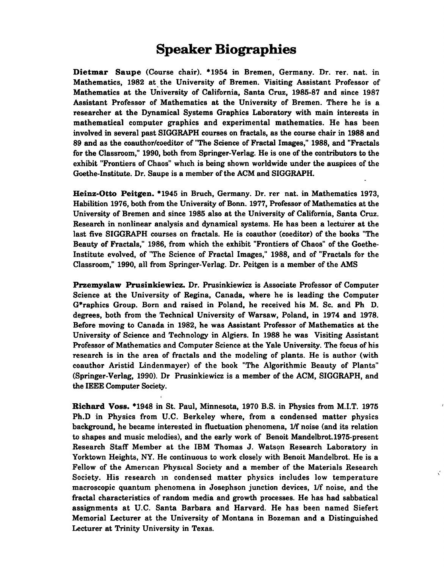### **Speaker Biographies**

Dietmar Saupe (Course chair). \*1954 in Bremen, Germany. Dr. rer. nat. in Mathematics, 1982 at the University of Bremen. Visiting Assistant Professor of Mathematics at the University of California, Santa Cruz, 1985-87 and since 1987 Assistant Professor of Mathematics at the University of Bremen. There he is a researcher at the Dynamical Systems Graphics Laboratory with main interests in mathematical computer graphics and experimental mathematics. He has been involved in several past SIGGRAPH courses on fractals, as the course chair in 1988 and 89 and as the coauthor/coeditor of "The Science of Fractal Images," 1988, and "Fractals for the Classroom," 1990, both from Springer-Verlag. He is one of the contributors to the exhibit "Frontiers of Chaos" which is being shown worldwide under the auspices of the Goethe-Institute. Dr. Saupe is a member of the ACM and SIGGRAPH.

Heinz-Otto Peitgen. \*1945 in Bruch, Germany. Dr. rer nat. in Mathematics 1973, Habilition 1976, both from the University of Bonn. 1977, Professor of Mathematics at the University of Bremen and since 1985 also at the University of California, Santa Cruz. Research in nonlinear analysis and dynamical systems. He has been a lecturer at the last five SIGGRAPH courses on fractals. He is coauthor (coeditor) of the books "The Beauty of Fractals," 1986, from which the exhibit "Frontiers of Chaos" of the Goethe-Institute evolved, of "The Science of Fractal Images," 1988, and of "Fractals for the Classroom," 1990, all from Springer-Verlag. Dr. Peitgen is a member of the AMS

Przemyslaw Prusinkiewicz. Dr. Prusinkiewicz is Associate Professor of Computer Science at the University of Regina, Canada, where he is leading the Computer G\*raphics Group. Born and raised in Poland, he received his M. Sc. and Ph D. degrees, both from the Technical University of Warsaw, Poland, in 1974 and 1978. Before moving to Canada in 1982, he was Assistant Professor of Mathematics at the University of Science and Technology in Algiers. In 1988 he was Visiting Assistant Professor of Mathematics and Computer Science at the Yale University. The focus of his research is in the area of fractals and the modeling of plants. He is author (with coauthor Aristid Lindenmayer) of the book "The Algorithmic Beauty of Plants" (Springer-Verlag, 1990). Dr Prusinkiewicz is a member of the ACM, SIGGRAPH, and the IEEE Computer Society.

Richard Voss. \*1948 in St. Paul, Minnesota, 1970 B.S. in Physics from M.I.T. 1975 Ph.D in Physics from U.C. Berkeley where, from a condensed matter physics background, he became interested in fluctuation phenomena, 1/f noise (and its relation to shapes and music melodies), and the early work of Benoit Mandelbrot.1975-present Research Staff Member at the IBM Thomas J. Watson Research Laboratory in Yorktown Heights, NY. He continuous to work closely with Benoit Mandelbrot. He is a Fellow of the Amencan Physical Society and a member of the Materials Research Society. His research in condensed matter physics includes low temperature macroscopic quantum phenomena in Josephson junction devices, 1/f noise, and the fractal characteristics of random media and growth processes. He has had sabbatical assignments at U.C. Santa Barbara and Harvard. He has been named Siefert Memorial Lecturer at the University of Montana in Bozeman and a Distinguished Lecturer at Trinity University in Texas.

 $\mathbf{r}^{\prime}$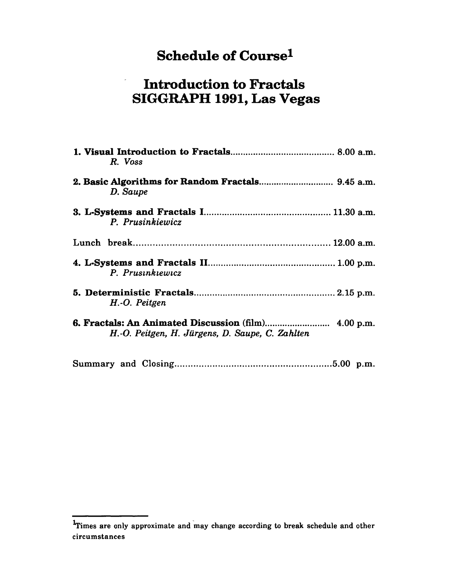# Schedule of Coursel

# Introduction to Fractals SIGGRAPH 1991, Las Vegas

| R. Voss                                         |
|-------------------------------------------------|
| D. Saupe                                        |
| P. Prusinkiewicz                                |
|                                                 |
| P. Prusinkiewicz                                |
| H.-O. Peitgen                                   |
| H.-O. Peitgen, H. Jürgens, D. Saupe, C. Zahlten |
|                                                 |

 $<sup>1</sup>$ Times are only approximate and may change according to break schedule and other</sup> circumstances